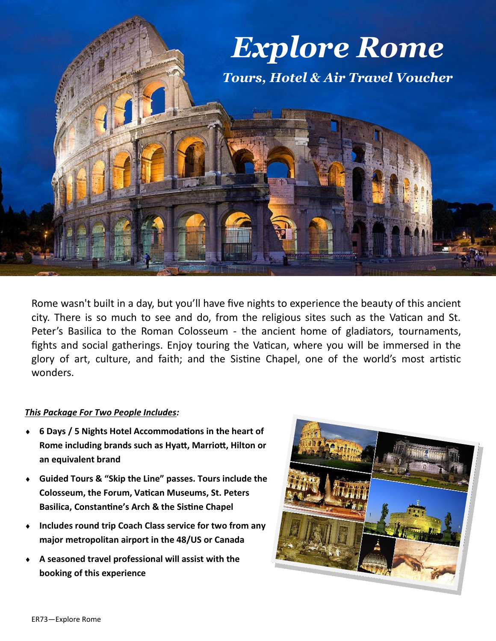

Rome wasn't built in a day, but you'll have five nights to experience the beauty of this ancient city. There is so much to see and do, from the religious sites such as the Vatican and St. Peter's Basilica to the Roman Colosseum - the ancient home of gladiators, tournaments, fights and social gatherings. Enjoy touring the Vatican, where you will be immersed in the glory of art, culture, and faith; and the Sistine Chapel, one of the world's most artistic wonders.

## *This Package For Two People Includes:*

- **6 Days / 5 Nights Hotel Accommodations in the heart of Rome including brands such as Hyatt, Marriott, Hilton or an equivalent brand**
- **Guided Tours & "Skip the Line" passes. Tours include the Colosseum, the Forum, Vatican Museums, St. Peters Basilica, Constantine's Arch & the Sistine Chapel**
- **Includes round trip Coach Class service for two from any major metropolitan airport in the 48/US or Canada**
- **A seasoned travel professional will assist with the booking of this experience**